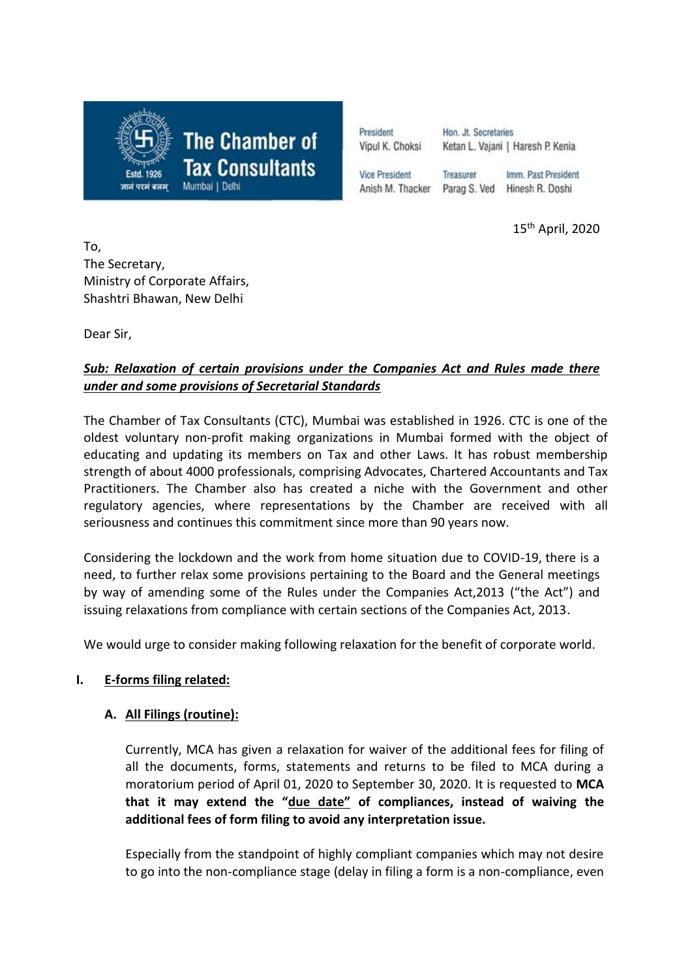

President Hon. Jt. Secretaries Vipul K. Choksi Ketan L. Vajani | Haresh P. Kenia **Vice President** Treasurer Imm. Past President

Anish M. Thacker Parag S. Ved

Hinesh R. Doshi

15th April, 2020

To, The Secretary, Ministry of Corporate Affairs, Shashtri Bhawan, New Delhi

Dear Sir,

## *Sub: Relaxation of certain provisions under the Companies Act and Rules made there under and some provisions of Secretarial Standards*

The Chamber of Tax Consultants (CTC), Mumbai was established in 1926. CTC is one of the oldest voluntary non-profit making organizations in Mumbai formed with the object of educating and updating its members on Tax and other Laws. It has robust membership strength of about 4000 professionals, comprising Advocates, Chartered Accountants and Tax Practitioners. The Chamber also has created a niche with the Government and other regulatory agencies, where representations by the Chamber are received with all seriousness and continues this commitment since more than 90 years now.

Considering the lockdown and the work from home situation due to COVID-19, there is a need, to further relax some provisions pertaining to the Board and the General meetings by way of amending some of the Rules under the Companies Act,2013 ("the Act") and issuing relaxations from compliance with certain sections of the Companies Act, 2013.

We would urge to consider making following relaxation for the benefit of corporate world.

# **I. E-forms filing related:**

## **A. All Filings (routine):**

Currently, MCA has given a relaxation for waiver of the additional fees for filing of all the documents, forms, statements and returns to be filed to MCA during a moratorium period of April 01, 2020 to September 30, 2020. It is requested to **MCA that it may extend the "due date" of compliances, instead of waiving the additional fees of form filing to avoid any interpretation issue.**

Especially from the standpoint of highly compliant companies which may not desire to go into the non-compliance stage (delay in filing a form is a non-compliance, even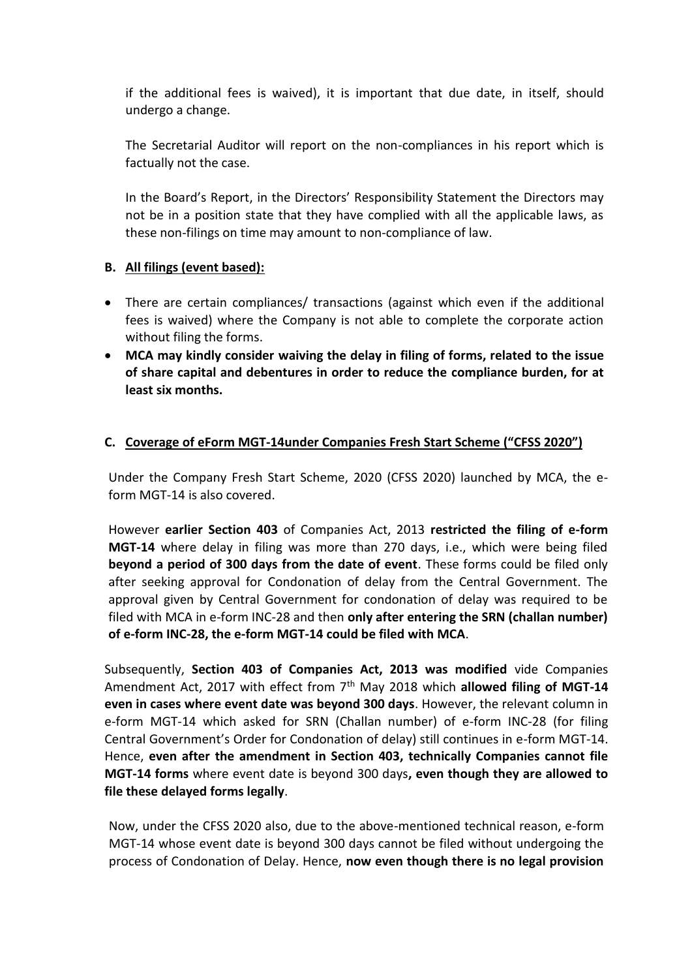if the additional fees is waived), it is important that due date, in itself, should undergo a change.

The Secretarial Auditor will report on the non-compliances in his report which is factually not the case.

In the Board's Report, in the Directors' Responsibility Statement the Directors may not be in a position state that they have complied with all the applicable laws, as these non-filings on time may amount to non-compliance of law.

#### **B. All filings (event based):**

- There are certain compliances/ transactions (against which even if the additional fees is waived) where the Company is not able to complete the corporate action without filing the forms.
- **MCA may kindly consider waiving the delay in filing of forms, related to the issue of share capital and debentures in order to reduce the compliance burden, for at least six months.**

### **C. Coverage of eForm MGT-14under Companies Fresh Start Scheme ("CFSS 2020")**

Under the Company Fresh Start Scheme, 2020 (CFSS 2020) launched by MCA, the eform MGT-14 is also covered.

However **earlier Section 403** of Companies Act, 2013 **restricted the filing of e-form MGT-14** where delay in filing was more than 270 days, i.e., which were being filed **beyond a period of 300 days from the date of event**. These forms could be filed only after seeking approval for Condonation of delay from the Central Government. The approval given by Central Government for condonation of delay was required to be filed with MCA in e-form INC-28 and then **only after entering the SRN (challan number) of e-form INC-28, the e-form MGT-14 could be filed with MCA**.

Subsequently, **Section 403 of Companies Act, 2013 was modified** vide Companies Amendment Act, 2017 with effect from 7<sup>th</sup> May 2018 which **allowed filing of MGT-14 even in cases where event date was beyond 300 days**. However, the relevant column in e-form MGT-14 which asked for SRN (Challan number) of e-form INC-28 (for filing Central Government's Order for Condonation of delay) still continues in e-form MGT-14. Hence, **even after the amendment in Section 403, technically Companies cannot file MGT-14 forms** where event date is beyond 300 days**, even though they are allowed to file these delayed forms legally**.

Now, under the CFSS 2020 also, due to the above-mentioned technical reason, e-form MGT-14 whose event date is beyond 300 days cannot be filed without undergoing the process of Condonation of Delay. Hence, **now even though there is no legal provision**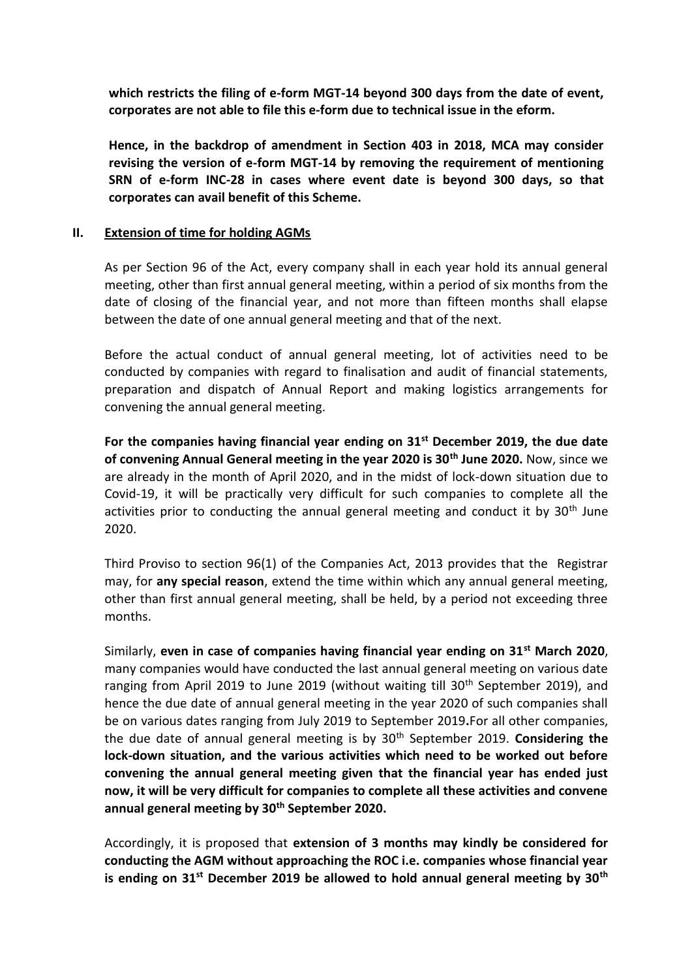**which restricts the filing of e-form MGT-14 beyond 300 days from the date of event, corporates are not able to file this e-form due to technical issue in the eform.** 

**Hence, in the backdrop of amendment in Section 403 in 2018, MCA may consider revising the version of e-form MGT-14 by removing the requirement of mentioning SRN of e-form INC-28 in cases where event date is beyond 300 days, so that corporates can avail benefit of this Scheme.**

#### **II. Extension of time for holding AGMs**

As per Section 96 of the Act, every company shall in each year hold its annual general meeting, other than first annual general meeting, within a period of six months from the date of closing of the financial year, and not more than fifteen months shall elapse between the date of one annual general meeting and that of the next.

Before the actual conduct of annual general meeting, lot of activities need to be conducted by companies with regard to finalisation and audit of financial statements, preparation and dispatch of Annual Report and making logistics arrangements for convening the annual general meeting.

**For the companies having financial year ending on 31st December 2019, the due date of convening Annual General meeting in the year 2020 is 30th June 2020.** Now, since we are already in the month of April 2020, and in the midst of lock-down situation due to Covid-19, it will be practically very difficult for such companies to complete all the activities prior to conducting the annual general meeting and conduct it by  $30<sup>th</sup>$  June 2020.

Third Proviso to section 96(1) of the Companies Act, 2013 provides that the Registrar may, for **any special reason**, extend the time within which any annual general meeting, other than first annual general meeting, shall be held, by a period not exceeding three months.

Similarly, **even in case of companies having financial year ending on 31st March 2020**, many companies would have conducted the last annual general meeting on various date ranging from April 2019 to June 2019 (without waiting till 30<sup>th</sup> September 2019), and hence the due date of annual general meeting in the year 2020 of such companies shall be on various dates ranging from July 2019 to September 2019**.**For all other companies, the due date of annual general meeting is by 30th September 2019. **Considering the lock-down situation, and the various activities which need to be worked out before convening the annual general meeting given that the financial year has ended just now, it will be very difficult for companies to complete all these activities and convene annual general meeting by 30th September 2020.**

Accordingly, it is proposed that **extension of 3 months may kindly be considered for conducting the AGM without approaching the ROC i.e. companies whose financial year is ending on 31st December 2019 be allowed to hold annual general meeting by 30th**